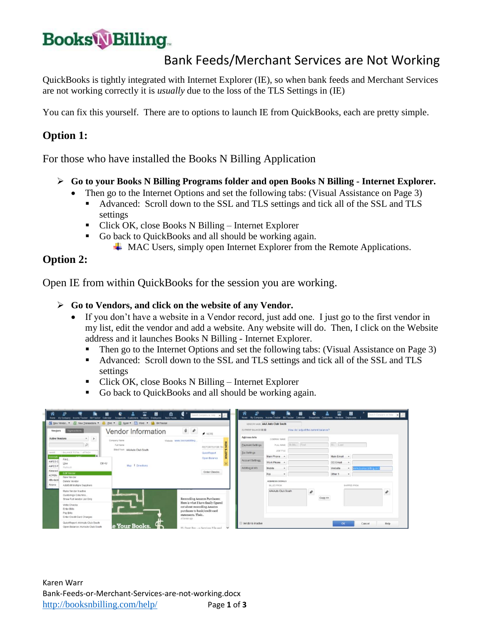# **BooksWBilling**

### Bank Feeds/Merchant Services are Not Working

QuickBooks is tightly integrated with Internet Explorer (IE), so when bank feeds and Merchant Services are not working correctly it is *usually* due to the loss of the TLS Settings in (IE)

You can fix this yourself. There are to options to launch IE from QuickBooks, each are pretty simple.

#### **Option 1:**

For those who have installed the Books N Billing Application

- **Go to your Books N Billing Programs folder and open Books N Billing - Internet Explorer.**
	- Then go to the Internet Options and set the following tabs: (Visual Assistance on Page 3)
		- Advanced: Scroll down to the SSL and TLS settings and tick all of the SSL and TLS settings
		- Click OK, close Books N Billing Internet Explorer
		- Go back to QuickBooks and all should be working again.
			- $\perp$  MAC Users, simply open Internet Explorer from the Remote Applications.

#### **Option 2:**

Open IE from within QuickBooks for the session you are working.

#### **Go to Vendors, and click on the website of any Vendor.**

- If you don't have a website in a Vendor record, just add one. I just go to the first vendor in my list, edit the vendor and add a website. Any website will do. Then, I click on the Website address and it launches Books N Billing - Internet Explorer.
	- Then go to the Internet Options and set the following tabs: (Visual Assistance on Page 3)
	- Advanced: Scroll down to the SSL and TLS settings and tick all of the SSL and TLS settings
	- Click OK, close Books N Billing Internet Explorer
	- Go back to QuickBooks and all should be working again.

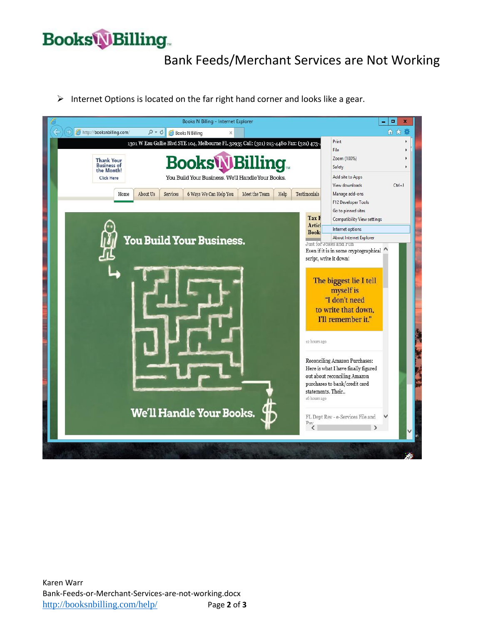## **Books Billing**

## Bank Feeds/Merchant Services are Not Working

 $\triangleright$  Internet Options is located on the far right hand corner and looks like a gear.